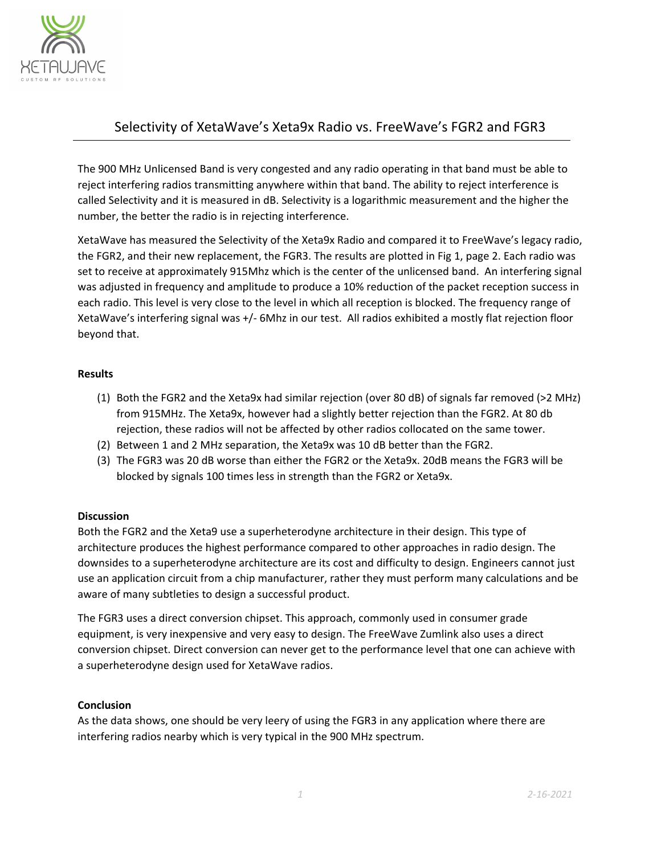

## Selectivity of XetaWave's Xeta9x Radio vs. FreeWave's FGR2 and FGR3

The 900 MHz Unlicensed Band is very congested and any radio operating in that band must be able to reject interfering radios transmitting anywhere within that band. The ability to reject interference is called Selectivity and it is measured in dB. Selectivity is a logarithmic measurement and the higher the number, the better the radio is in rejecting interference.

XetaWave has measured the Selectivity of the Xeta9x Radio and compared it to FreeWave's legacy radio, the FGR2, and their new replacement, the FGR3. The results are plotted in Fig 1, page 2. Each radio was set to receive at approximately 915Mhz which is the center of the unlicensed band. An interfering signal was adjusted in frequency and amplitude to produce a 10% reduction of the packet reception success in each radio. This level is very close to the level in which all reception is blocked. The frequency range of XetaWave's interfering signal was +/‐ 6Mhz in our test. All radios exhibited a mostly flat rejection floor beyond that.

### **Results**

- (1) Both the FGR2 and the Xeta9x had similar rejection (over 80 dB) of signals far removed (>2 MHz) from 915MHz. The Xeta9x, however had a slightly better rejection than the FGR2. At 80 db rejection, these radios will not be affected by other radios collocated on the same tower.
- (2) Between 1 and 2 MHz separation, the Xeta9x was 10 dB better than the FGR2.
- (3) The FGR3 was 20 dB worse than either the FGR2 or the Xeta9x. 20dB means the FGR3 will be blocked by signals 100 times less in strength than the FGR2 or Xeta9x.

### **Discussion**

Both the FGR2 and the Xeta9 use a superheterodyne architecture in their design. This type of architecture produces the highest performance compared to other approaches in radio design. The downsides to a superheterodyne architecture are its cost and difficulty to design. Engineers cannot just use an application circuit from a chip manufacturer, rather they must perform many calculations and be aware of many subtleties to design a successful product.

The FGR3 uses a direct conversion chipset. This approach, commonly used in consumer grade equipment, is very inexpensive and very easy to design. The FreeWave Zumlink also uses a direct conversion chipset. Direct conversion can never get to the performance level that one can achieve with a superheterodyne design used for XetaWave radios.

#### **Conclusion**

As the data shows, one should be very leery of using the FGR3 in any application where there are interfering radios nearby which is very typical in the 900 MHz spectrum.